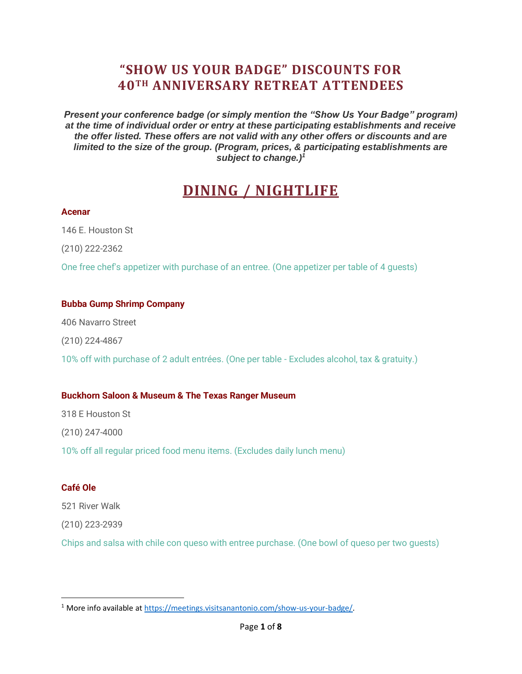# **"SHOW US YOUR BADGE" DISCOUNTS FOR 40TH ANNIVERSARY RETREAT ATTENDEES**

*Present your conference badge (or simply mention the "Show Us Your Badge" program) at the time of individual order or entry at these participating establishments and receive the offer listed. These offers are not valid with any other offers or discounts and are limited to the size of the group. (Program, prices, & participating establishments are subject to change.)<sup>1</sup>*

# **DINING / NIGHTLIFE**

#### **Acenar**

146 E. Houston St

(210) 222-2362

One free chef's appetizer with purchase of an entree. (One appetizer per table of 4 guests)

#### **Bubba Gump Shrimp Company**

406 Navarro Street

(210) 224-4867

10% off with purchase of 2 adult entrées. (One per table - Excludes alcohol, tax & gratuity.)

#### **Buckhorn Saloon & Museum & The Texas Ranger Museum**

318 E Houston St

(210) 247-4000

10% off all regular priced food menu items. (Excludes daily lunch menu)

#### **Café Ole**

521 River Walk

(210) 223-2939

Chips and salsa with chile con queso with entree purchase. (One bowl of queso per two guests)

<sup>1</sup> More info available a[t https://meetings.visitsanantonio.com/show-us-your-badge/.](https://meetings.visitsanantonio.com/show-us-your-badge/)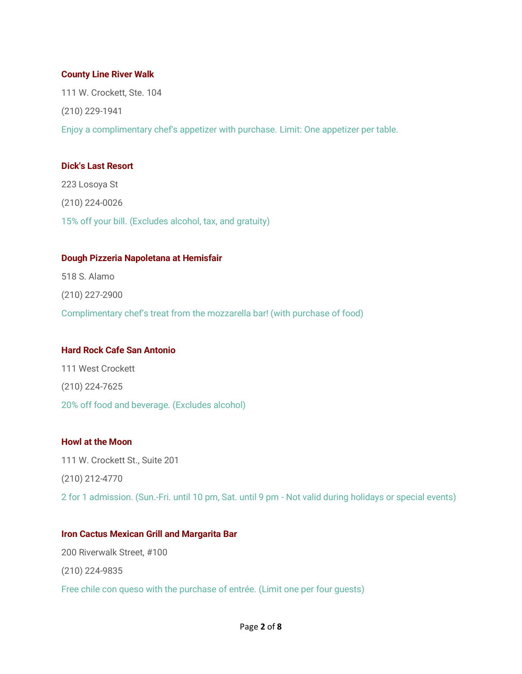#### **County Line River Walk**

111 W. Crockett, Ste. 104 (210) 229-1941 Enjoy a complimentary chef's appetizer with purchase. Limit: One appetizer per table.

#### **Dick's Last Resort**

223 Losoya St (210) 224-0026 15% off your bill. (Excludes alcohol, tax, and gratuity)

#### **Dough Pizzeria Napoletana at Hemisfair**

518 S. Alamo (210) 227-2900 Complimentary chef's treat from the mozzarella bar! (with purchase of food)

#### **Hard Rock Cafe San Antonio**

111 West Crockett (210) 224-7625 20% off food and beverage. (Excludes alcohol)

#### **Howl at the Moon**

111 W. Crockett St., Suite 201 (210) 212-4770 2 for 1 admission. (Sun.-Fri. until 10 pm, Sat. until 9 pm - Not valid during holidays or special events)

#### **Iron Cactus Mexican Grill and Margarita Bar**

200 Riverwalk Street, #100 (210) 224-9835 Free chile con queso with the purchase of entrée. (Limit one per four guests)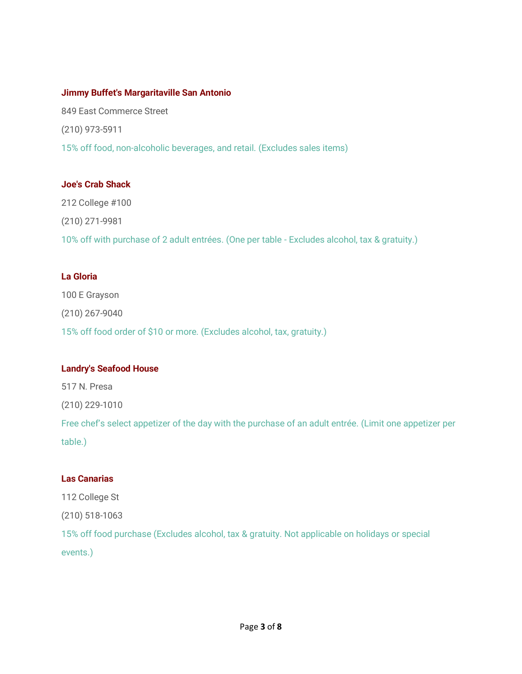#### **Jimmy Buffet's Margaritaville San Antonio**

849 East Commerce Street (210) 973-5911 15% off food, non-alcoholic beverages, and retail. (Excludes sales items)

#### **Joe's Crab Shack**

212 College #100 (210) 271-9981 10% off with purchase of 2 adult entrées. (One per table - Excludes alcohol, tax & gratuity.)

#### **La Gloria**

100 E Grayson (210) 267-9040 15% off food order of \$10 or more. (Excludes alcohol, tax, gratuity.)

#### **Landry's Seafood House**

517 N. Presa

(210) 229-1010

Free chef's select appetizer of the day with the purchase of an adult entrée. (Limit one appetizer per table.)

#### **Las Canarias**

112 College St

(210) 518-1063

15% off food purchase (Excludes alcohol, tax & gratuity. Not applicable on holidays or special events.)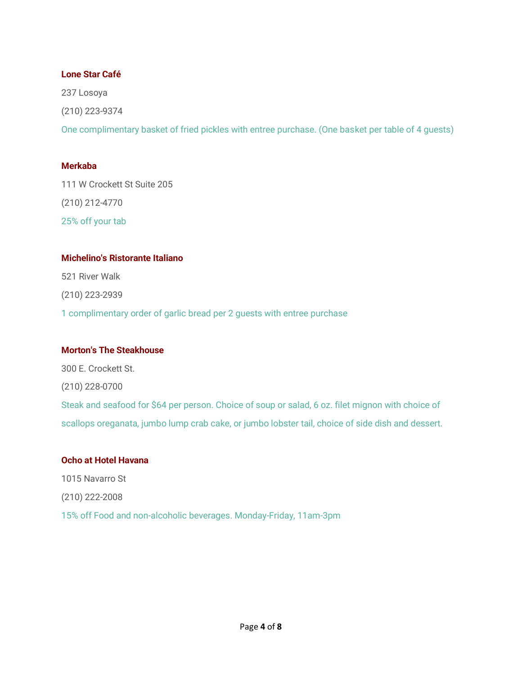#### **Lone Star Café**

237 Losoya (210) 223-9374 One complimentary basket of fried pickles with entree purchase. (One basket per table of 4 guests)

#### **Merkaba**

111 W Crockett St Suite 205 (210) 212-4770 25% off your tab

#### **Michelino's Ristorante Italiano**

521 River Walk (210) 223-2939 1 complimentary order of garlic bread per 2 guests with entree purchase

#### **Morton's The Steakhouse**

300 E. Crockett St. (210) 228-0700 Steak and seafood for \$64 per person. Choice of soup or salad, 6 oz. filet mignon with choice of scallops oreganata, jumbo lump crab cake, or jumbo lobster tail, choice of side dish and dessert.

#### **Ocho at Hotel Havana**

1015 Navarro St (210) 222-2008 15% off Food and non-alcoholic beverages. Monday-Friday, 11am-3pm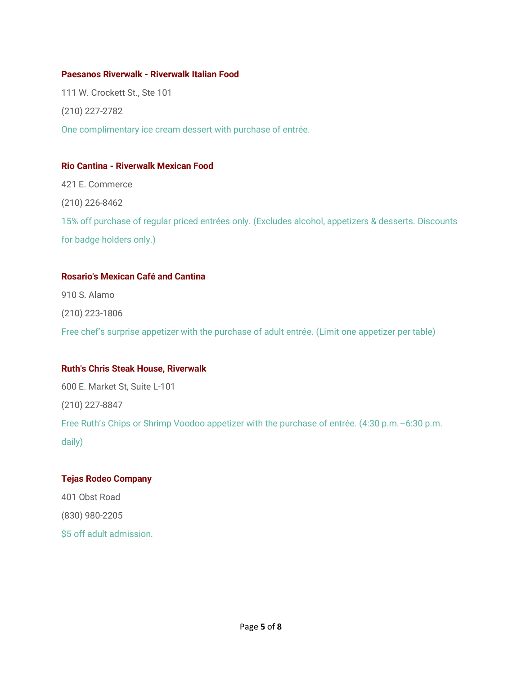#### **Paesanos Riverwalk - Riverwalk Italian Food**

111 W. Crockett St., Ste 101 (210) 227-2782 One complimentary ice cream dessert with purchase of entrée.

#### **Rio Cantina - Riverwalk Mexican Food**

421 E. Commerce (210) 226-8462 15% off purchase of regular priced entrées only. (Excludes alcohol, appetizers & desserts. Discounts for badge holders only.)

#### **Rosario's Mexican Café and Cantina**

910 S. Alamo (210) 223-1806

# Free chef's surprise appetizer with the purchase of adult entrée. (Limit one appetizer per table)

#### **Ruth's Chris Steak House, Riverwalk**

600 E. Market St, Suite L-101 (210) 227-8847 Free Ruth's Chips or Shrimp Voodoo appetizer with the purchase of entrée. (4:30 p.m.–6:30 p.m. daily)

# **Tejas Rodeo Company** 401 Obst Road (830) 980-2205 \$5 off adult admission.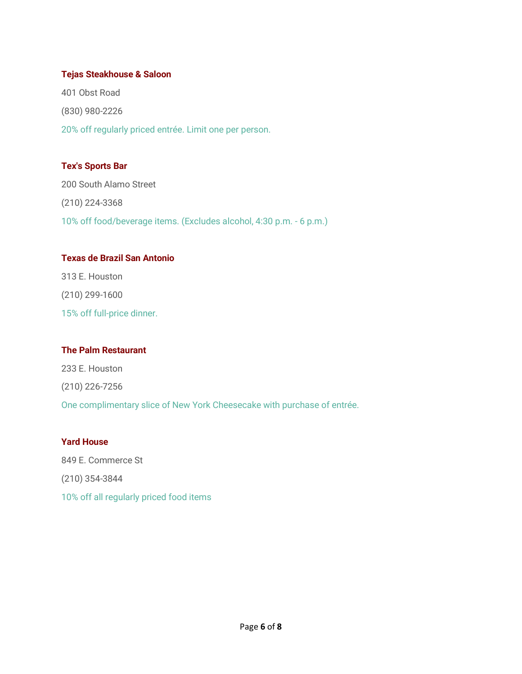#### **Tejas Steakhouse & Saloon**

401 Obst Road (830) 980-2226 20% off regularly priced entrée. Limit one per person.

## **Tex's Sports Bar**

200 South Alamo Street (210) 224-3368 10% off food/beverage items. (Excludes alcohol, 4:30 p.m. - 6 p.m.)

### **Texas de Brazil San Antonio**

313 E. Houston (210) 299-1600 15% off full-price dinner.

#### **The Palm Restaurant**

233 E. Houston (210) 226-7256 One complimentary slice of New York Cheesecake with purchase of entrée.

#### **Yard House**

849 E. Commerce St (210) 354-3844 10% off all regularly priced food items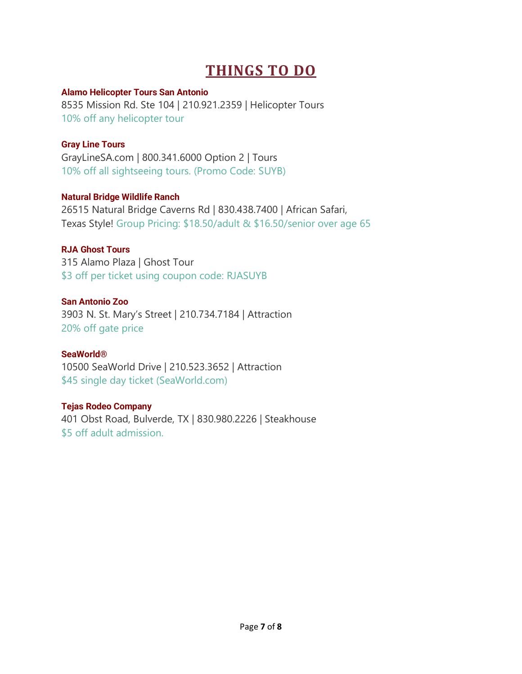# **THINGS TO DO**

## **Alamo Helicopter Tours San Antonio**

8535 Mission Rd. Ste 104 | 210.921.2359 | Helicopter Tours 10% off any helicopter tour

# **Gray Line Tours**

GrayLineSA.com | 800.341.6000 Option 2 | Tours 10% off all sightseeing tours. (Promo Code: SUYB)

# **Natural Bridge Wildlife Ranch**

26515 Natural Bridge Caverns Rd | 830.438.7400 | African Safari, Texas Style! Group Pricing: \$18.50/adult & \$16.50/senior over age 65

# **RJA Ghost Tours**

315 Alamo Plaza | Ghost Tour \$3 off per ticket using coupon code: RJASUYB

## **San Antonio Zoo**

3903 N. St. Mary's Street | 210.734.7184 | Attraction 20% off gate price

## **SeaWorld®**

10500 SeaWorld Drive | 210.523.3652 | Attraction \$45 single day ticket (SeaWorld.com)

## **Tejas Rodeo Company**

401 Obst Road, Bulverde, TX | 830.980.2226 | Steakhouse \$5 off adult admission.